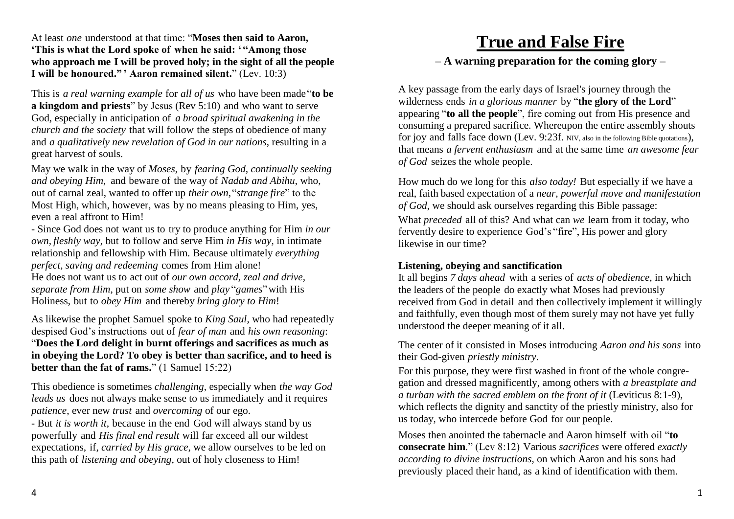At least *one* understood at that time: "**Moses then said to Aaron, 'This is what the Lord spoke of when he said: ' "Among those who approach me I will be proved holy; in the sight of all the people I will be honoured." ' Aaron remained silent.**" (Lev. 10:3)

This is *a real warning example* for *all of us* who have been made"**to be a kingdom and priests**" by Jesus (Rev 5:10) and who want to serve God, especially in anticipation of *a broad spiritual awakening in the church and the society* that will follow the steps of obedience of many and *a qualitatively new revelation of God in our nations*, resulting in a great harvest of souls.

May we walk in the way of *Moses*, by *fearing God, continually seeking and obeying Him*, and beware of the way of *Nadab and Abihu*, who, out of carnal zeal, wanted to offer up *their own,*"*strange fire*" to the Most High, which, however, was by no means pleasing to Him, yes, even a real affront to Him!

- Since God does not want us to try to produce anything for Him *in our own, fleshly way,* but to follow and serve Him *in His way*, in intimate relationship and fellowship with Him*.* Because ultimately *everything perfect, saving and redeeming* comes from Him alone! He does not want us to act out of *our own accord, zeal and drive, separate from Him*, put on *some show* and *play* "*games*"with His

Holiness, but to *obey Him* and thereby *bring glory to Him*!

As likewise the prophet Samuel spoke to *King Saul*, who had repeatedly despised God's instructions out of *fear of man* and *his own reasoning*: "**Does the Lord delight in burnt offerings and sacrifices as much as in obeying the Lord? To obey is better than sacrifice, and to heed is better than the fat of rams.**" (1 Samuel 15:22)

This obedience is sometimes *challenging*, especially when *the way God leads us* does not always make sense to us immediately and it requires *patience*, ever new *trust* and *overcoming* of our ego.

- But *it is worth it*, because in the end God will always stand by us powerfully and *His final end result* will far exceed all our wildest expectations, if, *carried by His grace*, we allow ourselves to be led on this path of *listening and obeying*, out of holy closeness to Him!

## **True and False Fire – A warning preparation for the coming glory –**

A key passage from the early days of Israel's journey through the wilderness ends *in a glorious manner* by "**the glory of the Lord**" appearing "**to all the people**", fire coming out from His presence and consuming a prepared sacrifice. Whereupon the entire assembly shouts for joy and falls face down (Lev. 9:23f. NIV, also in the following Bible quotations), that means *a fervent enthusiasm* and at the same time *an awesome fear of God* seizes the whole people.

How much do we long for this *also today!* But especially if we have a real, faith based expectation of a *near, powerful move and manifestation of God*, we should ask ourselves regarding this Bible passage: What *preceded* all of this? And what can *we* learn from it today, who fervently desire to experience God's "fire", His power and glory likewise in our time?

## **Listening, obeying and sanctification**

It all begins *7 days ahead* with a series of *acts of obedience*, in which the leaders of the people do exactly what Moses had previously received from God in detail and then collectively implement it willingly and faithfully, even though most of them surely may not have yet fully understood the deeper meaning of it all.

The center of it consisted in Moses introducing *Aaron and his sons* into their God-given *priestly ministry*.

For this purpose, they were first washed in front of the whole congregation and dressed magnificently, among others with *a breastplate and a turban with the sacred emblem on the front of it* (Leviticus 8:1-9), which reflects the dignity and sanctity of the priestly ministry, also for us today, who intercede before God for our people.

Moses then anointed the tabernacle and Aaron himself with oil "**to consecrate him**." (Lev 8:12) Various *sacrifices* were offered *exactly according to divine instructions,* on which Aaron and his sons had previously placed their hand, as a kind of identification with them.